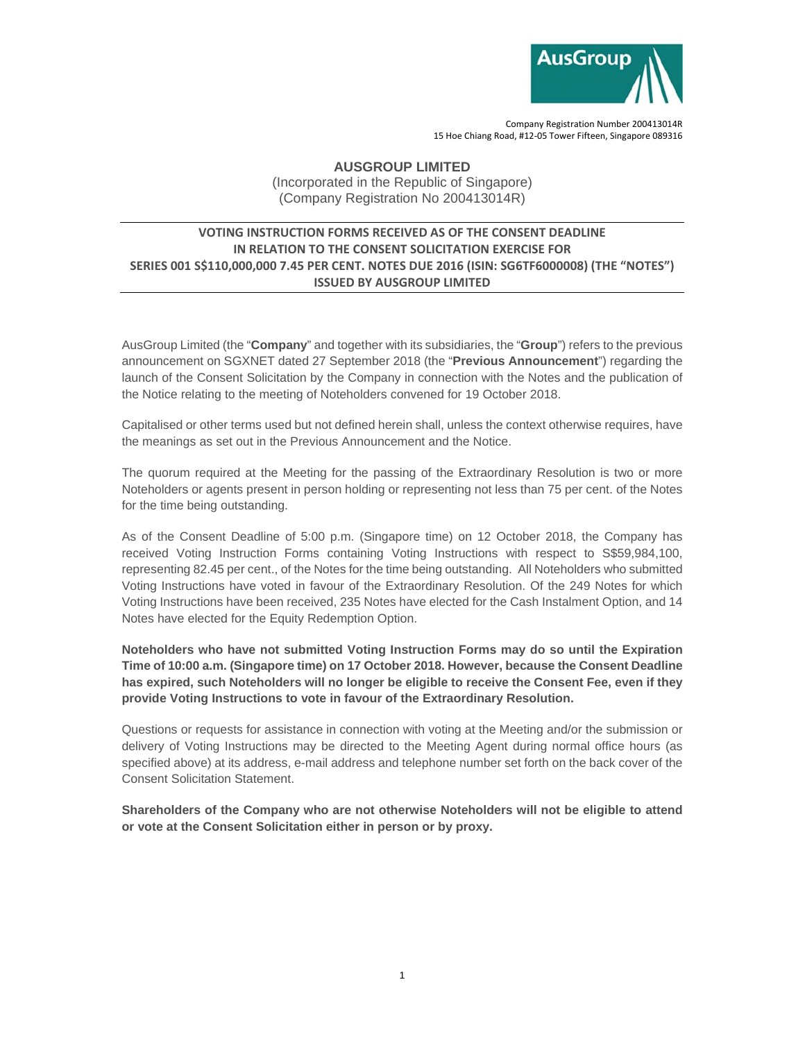

Company Registration Number 200413014R 15 Hoe Chiang Road, #12‐05 Tower Fifteen, Singapore 089316

## **AUSGROUP LIMITED**

(Incorporated in the Republic of Singapore) (Company Registration No 200413014R)

## **VOTING INSTRUCTION FORMS RECEIVED AS OF THE CONSENT DEADLINE IN RELATION TO THE CONSENT SOLICITATION EXERCISE FOR SERIES 001 S\$110,000,000 7.45 PER CENT. NOTES DUE 2016 (ISIN: SG6TF6000008) (THE "NOTES") ISSUED BY AUSGROUP LIMITED**

AusGroup Limited (the "**Company**" and together with its subsidiaries, the "**Group**") refers to the previous announcement on SGXNET dated 27 September 2018 (the "**Previous Announcement**") regarding the launch of the Consent Solicitation by the Company in connection with the Notes and the publication of the Notice relating to the meeting of Noteholders convened for 19 October 2018.

Capitalised or other terms used but not defined herein shall, unless the context otherwise requires, have the meanings as set out in the Previous Announcement and the Notice.

The quorum required at the Meeting for the passing of the Extraordinary Resolution is two or more Noteholders or agents present in person holding or representing not less than 75 per cent. of the Notes for the time being outstanding.

As of the Consent Deadline of 5:00 p.m. (Singapore time) on 12 October 2018, the Company has received Voting Instruction Forms containing Voting Instructions with respect to S\$59,984,100, representing 82.45 per cent., of the Notes for the time being outstanding. All Noteholders who submitted Voting Instructions have voted in favour of the Extraordinary Resolution. Of the 249 Notes for which Voting Instructions have been received, 235 Notes have elected for the Cash Instalment Option, and 14 Notes have elected for the Equity Redemption Option.

**Noteholders who have not submitted Voting Instruction Forms may do so until the Expiration Time of 10:00 a.m. (Singapore time) on 17 October 2018. However, because the Consent Deadline has expired, such Noteholders will no longer be eligible to receive the Consent Fee, even if they provide Voting Instructions to vote in favour of the Extraordinary Resolution.** 

Questions or requests for assistance in connection with voting at the Meeting and/or the submission or delivery of Voting Instructions may be directed to the Meeting Agent during normal office hours (as specified above) at its address, e-mail address and telephone number set forth on the back cover of the Consent Solicitation Statement.

**Shareholders of the Company who are not otherwise Noteholders will not be eligible to attend or vote at the Consent Solicitation either in person or by proxy.**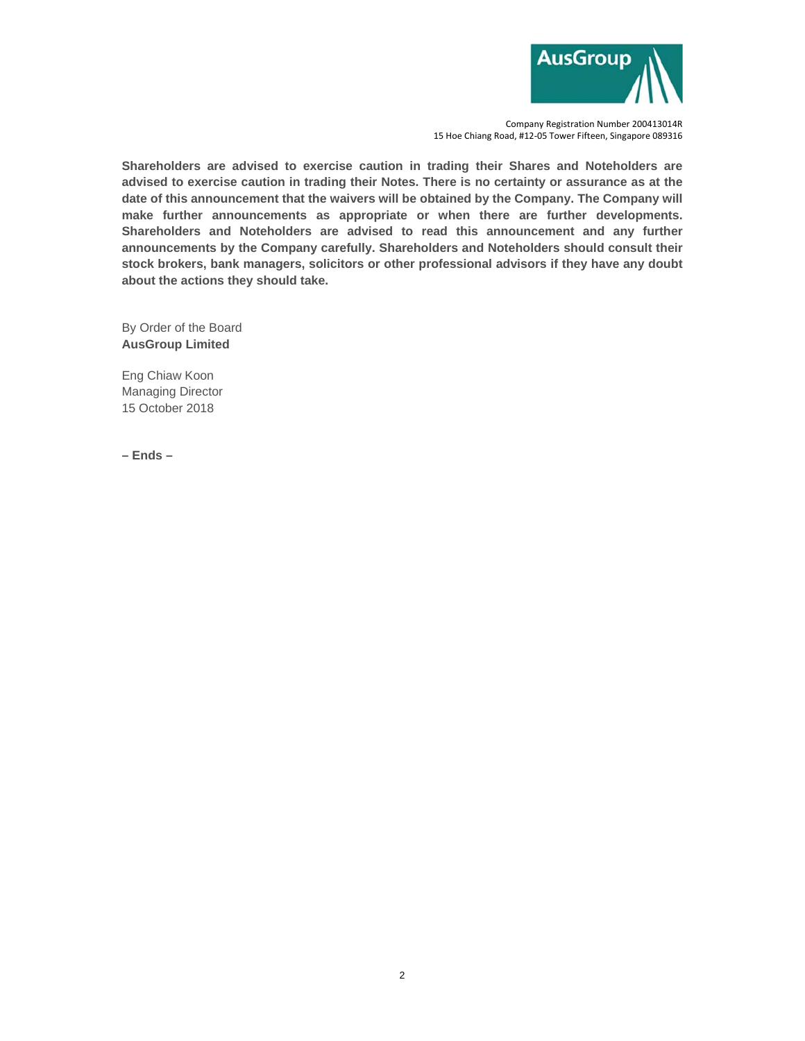

Company Registration Number 200413014R 15 Hoe Chiang Road, #12‐05 Tower Fifteen, Singapore 089316

**Shareholders are advised to exercise caution in trading their Shares and Noteholders are advised to exercise caution in trading their Notes. There is no certainty or assurance as at the date of this announcement that the waivers will be obtained by the Company. The Company will make further announcements as appropriate or when there are further developments. Shareholders and Noteholders are advised to read this announcement and any further announcements by the Company carefully. Shareholders and Noteholders should consult their stock brokers, bank managers, solicitors or other professional advisors if they have any doubt about the actions they should take.** 

By Order of the Board **AusGroup Limited** 

Eng Chiaw Koon Managing Director 15 October 2018

**– Ends –**